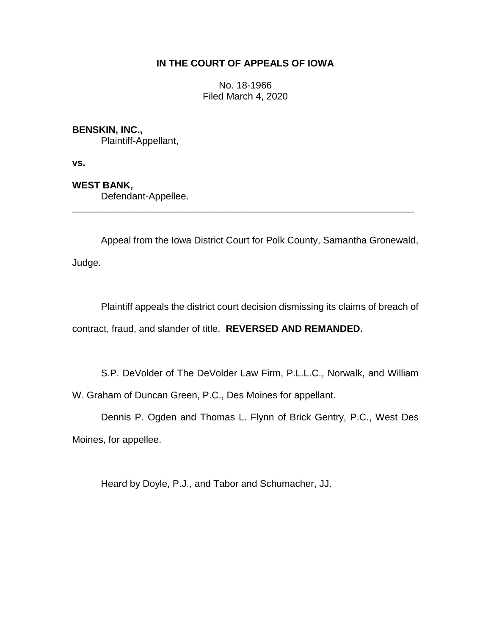### **IN THE COURT OF APPEALS OF IOWA**

No. 18-1966 Filed March 4, 2020

### **BENSKIN, INC.,**

Plaintiff-Appellant,

**vs.**

## **WEST BANK,**

Defendant-Appellee.

Appeal from the Iowa District Court for Polk County, Samantha Gronewald,

\_\_\_\_\_\_\_\_\_\_\_\_\_\_\_\_\_\_\_\_\_\_\_\_\_\_\_\_\_\_\_\_\_\_\_\_\_\_\_\_\_\_\_\_\_\_\_\_\_\_\_\_\_\_\_\_\_\_\_\_\_\_\_\_

Judge.

Plaintiff appeals the district court decision dismissing its claims of breach of contract, fraud, and slander of title. **REVERSED AND REMANDED.**

S.P. DeVolder of The DeVolder Law Firm, P.L.L.C., Norwalk, and William

W. Graham of Duncan Green, P.C., Des Moines for appellant.

Dennis P. Ogden and Thomas L. Flynn of Brick Gentry, P.C., West Des Moines, for appellee.

Heard by Doyle, P.J., and Tabor and Schumacher, JJ.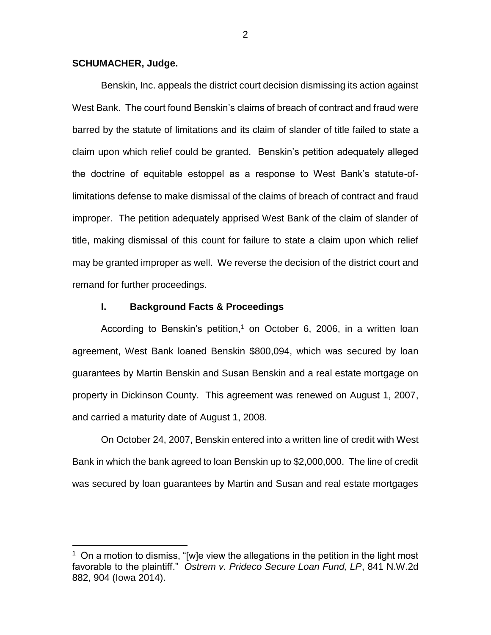#### **SCHUMACHER, Judge.**

 $\overline{a}$ 

Benskin, Inc. appeals the district court decision dismissing its action against West Bank. The court found Benskin's claims of breach of contract and fraud were barred by the statute of limitations and its claim of slander of title failed to state a claim upon which relief could be granted. Benskin's petition adequately alleged the doctrine of equitable estoppel as a response to West Bank's statute-oflimitations defense to make dismissal of the claims of breach of contract and fraud improper. The petition adequately apprised West Bank of the claim of slander of title, making dismissal of this count for failure to state a claim upon which relief may be granted improper as well. We reverse the decision of the district court and remand for further proceedings.

#### **I. Background Facts & Proceedings**

According to Benskin's petition,<sup>1</sup> on October 6, 2006, in a written loan agreement, West Bank loaned Benskin \$800,094, which was secured by loan guarantees by Martin Benskin and Susan Benskin and a real estate mortgage on property in Dickinson County. This agreement was renewed on August 1, 2007, and carried a maturity date of August 1, 2008.

On October 24, 2007, Benskin entered into a written line of credit with West Bank in which the bank agreed to loan Benskin up to \$2,000,000. The line of credit was secured by loan guarantees by Martin and Susan and real estate mortgages

 $1$  On a motion to dismiss, "[w]e view the allegations in the petition in the light most favorable to the plaintiff." *Ostrem v. Prideco Secure Loan Fund, LP*, 841 N.W.2d 882, 904 (Iowa 2014).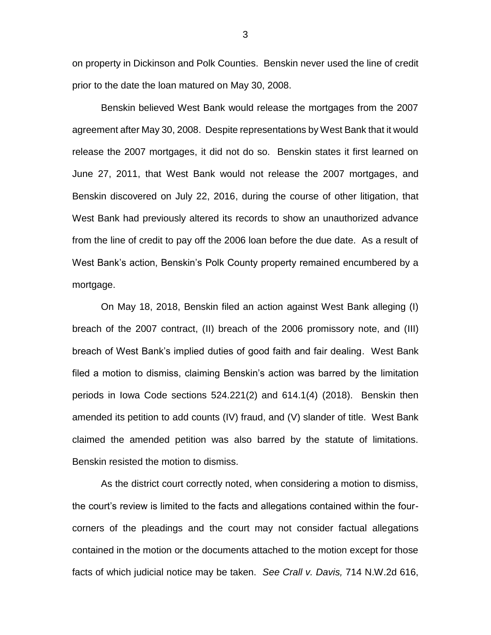on property in Dickinson and Polk Counties. Benskin never used the line of credit prior to the date the loan matured on May 30, 2008.

Benskin believed West Bank would release the mortgages from the 2007 agreement after May 30, 2008. Despite representations by West Bank that it would release the 2007 mortgages, it did not do so. Benskin states it first learned on June 27, 2011, that West Bank would not release the 2007 mortgages, and Benskin discovered on July 22, 2016, during the course of other litigation, that West Bank had previously altered its records to show an unauthorized advance from the line of credit to pay off the 2006 loan before the due date. As a result of West Bank's action, Benskin's Polk County property remained encumbered by a mortgage.

On May 18, 2018, Benskin filed an action against West Bank alleging (I) breach of the 2007 contract, (II) breach of the 2006 promissory note, and (III) breach of West Bank's implied duties of good faith and fair dealing. West Bank filed a motion to dismiss, claiming Benskin's action was barred by the limitation periods in Iowa Code sections 524.221(2) and 614.1(4) (2018). Benskin then amended its petition to add counts (IV) fraud, and (V) slander of title. West Bank claimed the amended petition was also barred by the statute of limitations. Benskin resisted the motion to dismiss.

As the district court correctly noted, when considering a motion to dismiss, the court's review is limited to the facts and allegations contained within the fourcorners of the pleadings and the court may not consider factual allegations contained in the motion or the documents attached to the motion except for those facts of which judicial notice may be taken. *See Crall v. Davis,* 714 N.W.2d 616,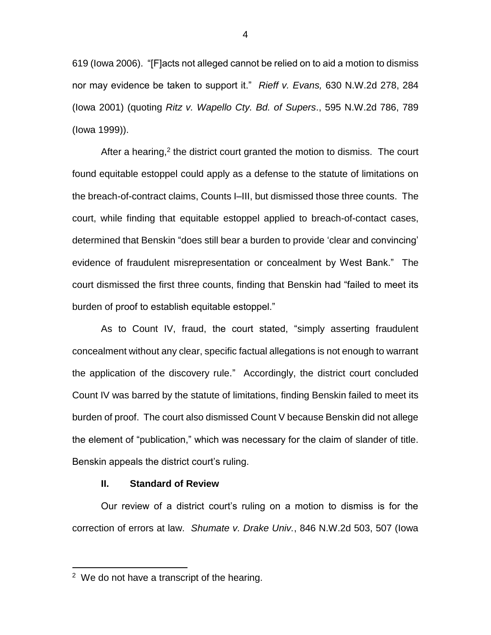619 (Iowa 2006). "[F]acts not alleged cannot be relied on to aid a motion to dismiss nor may evidence be taken to support it." *Rieff v. Evans,* 630 N.W.2d 278, 284 (Iowa 2001) (quoting *Ritz v. Wapello Cty. Bd. of Supers*., 595 N.W.2d 786, 789 (Iowa 1999)).

After a hearing,<sup>2</sup> the district court granted the motion to dismiss. The court found equitable estoppel could apply as a defense to the statute of limitations on the breach-of-contract claims, Counts I–III, but dismissed those three counts. The court, while finding that equitable estoppel applied to breach-of-contact cases, determined that Benskin "does still bear a burden to provide 'clear and convincing' evidence of fraudulent misrepresentation or concealment by West Bank." The court dismissed the first three counts, finding that Benskin had "failed to meet its burden of proof to establish equitable estoppel."

As to Count IV, fraud, the court stated, "simply asserting fraudulent concealment without any clear, specific factual allegations is not enough to warrant the application of the discovery rule." Accordingly, the district court concluded Count IV was barred by the statute of limitations, finding Benskin failed to meet its burden of proof. The court also dismissed Count V because Benskin did not allege the element of "publication," which was necessary for the claim of slander of title. Benskin appeals the district court's ruling.

#### **II. Standard of Review**

Our review of a district court's ruling on a motion to dismiss is for the correction of errors at law. *Shumate v. Drake Univ.*, 846 N.W.2d 503, 507 (Iowa

 $\overline{a}$ 

<sup>&</sup>lt;sup>2</sup> We do not have a transcript of the hearing.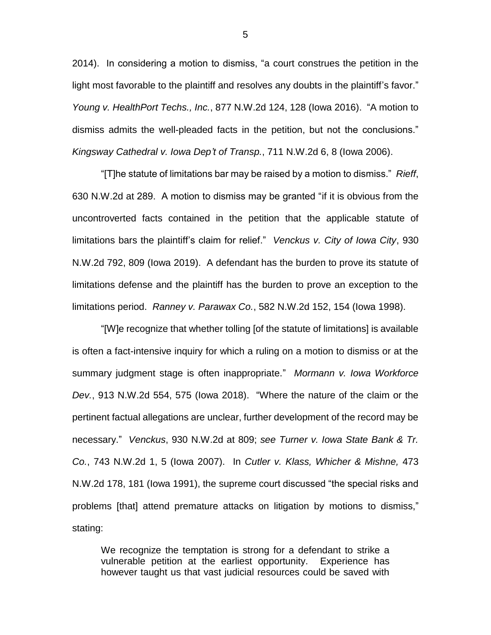2014). In considering a motion to dismiss, "a court construes the petition in the light most favorable to the plaintiff and resolves any doubts in the plaintiff's favor." *Young v. HealthPort Techs., Inc.*, 877 N.W.2d 124, 128 (Iowa 2016). "A motion to dismiss admits the well-pleaded facts in the petition, but not the conclusions." *Kingsway Cathedral v. Iowa Dep't of Transp.*, 711 N.W.2d 6, 8 (Iowa 2006).

"[T]he statute of limitations bar may be raised by a motion to dismiss." *Rieff*, 630 N.W.2d at 289. A motion to dismiss may be granted "if it is obvious from the uncontroverted facts contained in the petition that the applicable statute of limitations bars the plaintiff's claim for relief." *Venckus v. City of Iowa City*, 930 N.W.2d 792, 809 (Iowa 2019). A defendant has the burden to prove its statute of limitations defense and the plaintiff has the burden to prove an exception to the limitations period. *Ranney v. Parawax Co.*, 582 N.W.2d 152, 154 (Iowa 1998).

"[W]e recognize that whether tolling [of the statute of limitations] is available is often a fact-intensive inquiry for which a ruling on a motion to dismiss or at the summary judgment stage is often inappropriate." *Mormann v. Iowa Workforce Dev.*, 913 N.W.2d 554, 575 (Iowa 2018). "Where the nature of the claim or the pertinent factual allegations are unclear, further development of the record may be necessary." *Venckus*, 930 N.W.2d at 809; *see Turner v. Iowa State Bank & Tr. Co.*, 743 N.W.2d 1, 5 (Iowa 2007). In *Cutler v. Klass, Whicher & Mishne,* 473 N.W.2d 178, 181 (Iowa 1991), the supreme court discussed "the special risks and problems [that] attend premature attacks on litigation by motions to dismiss," stating:

We recognize the temptation is strong for a defendant to strike a vulnerable petition at the earliest opportunity. Experience has however taught us that vast judicial resources could be saved with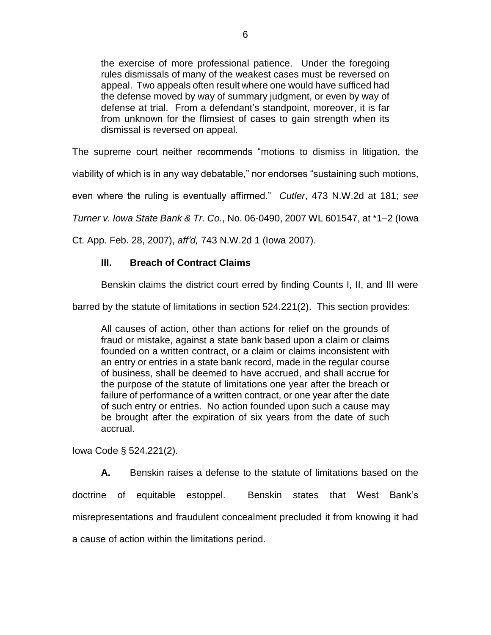the exercise of more professional patience. Under the foregoing rules dismissals of many of the weakest cases must be reversed on appeal. Two appeals often result where one would have sufficed had the defense moved by way of summary judgment, or even by way of defense at trial. From a defendant's standpoint, moreover, it is far from unknown for the flimsiest of cases to gain strength when its dismissal is reversed on appeal.

The supreme court neither recommends "motions to dismiss in litigation, the

viability of which is in any way debatable," nor endorses "sustaining such motions,

even where the ruling is eventually affirmed." *Cutler*, 473 N.W.2d at 181; *see* 

*Turner v. Iowa State Bank & Tr. Co.*, No. 06-0490, 2007 WL 601547, at \*1–2 (Iowa

Ct. App. Feb. 28, 2007), *aff'd,* 743 N.W.2d 1 (Iowa 2007).

## **III. Breach of Contract Claims**

Benskin claims the district court erred by finding Counts I, II, and III were

barred by the statute of limitations in section 524.221(2). This section provides:

All causes of action, other than actions for relief on the grounds of fraud or mistake, against a state bank based upon a claim or claims founded on a written contract, or a claim or claims inconsistent with an entry or entries in a state bank record, made in the regular course of business, shall be deemed to have accrued, and shall accrue for the purpose of the statute of limitations one year after the breach or failure of performance of a written contract, or one year after the date of such entry or entries. No action founded upon such a cause may be brought after the expiration of six years from the date of such accrual.

Iowa Code § 524.221(2).

**A.** Benskin raises a defense to the statute of limitations based on the doctrine of equitable estoppel. Benskin states that West Bank's misrepresentations and fraudulent concealment precluded it from knowing it had a cause of action within the limitations period.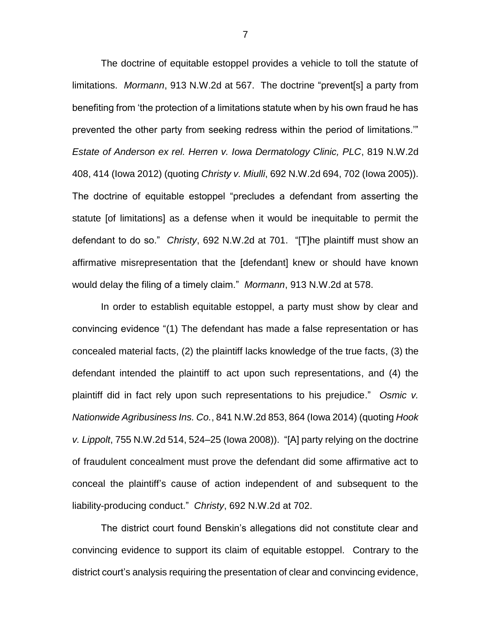The doctrine of equitable estoppel provides a vehicle to toll the statute of limitations. *Mormann*, 913 N.W.2d at 567. The doctrine "prevent[s] a party from benefiting from 'the protection of a limitations statute when by his own fraud he has prevented the other party from seeking redress within the period of limitations.'" *Estate of Anderson ex rel. Herren v. Iowa Dermatology Clinic, PLC*, 819 N.W.2d 408, 414 (Iowa 2012) (quoting *Christy v. Miulli*, 692 N.W.2d 694, 702 (Iowa 2005)). The doctrine of equitable estoppel "precludes a defendant from asserting the statute [of limitations] as a defense when it would be inequitable to permit the defendant to do so." *Christy*, 692 N.W.2d at 701. "[T]he plaintiff must show an affirmative misrepresentation that the [defendant] knew or should have known would delay the filing of a timely claim." *Mormann*, 913 N.W.2d at 578.

In order to establish equitable estoppel, a party must show by clear and convincing evidence "(1) The defendant has made a false representation or has concealed material facts, (2) the plaintiff lacks knowledge of the true facts, (3) the defendant intended the plaintiff to act upon such representations, and (4) the plaintiff did in fact rely upon such representations to his prejudice." *Osmic v. Nationwide Agribusiness Ins. Co.*, 841 N.W.2d 853, 864 (Iowa 2014) (quoting *Hook v. Lippolt*, 755 N.W.2d 514, 524–25 (Iowa 2008)). "[A] party relying on the doctrine of fraudulent concealment must prove the defendant did some affirmative act to conceal the plaintiff's cause of action independent of and subsequent to the liability-producing conduct." *Christy*, 692 N.W.2d at 702.

The district court found Benskin's allegations did not constitute clear and convincing evidence to support its claim of equitable estoppel. Contrary to the district court's analysis requiring the presentation of clear and convincing evidence,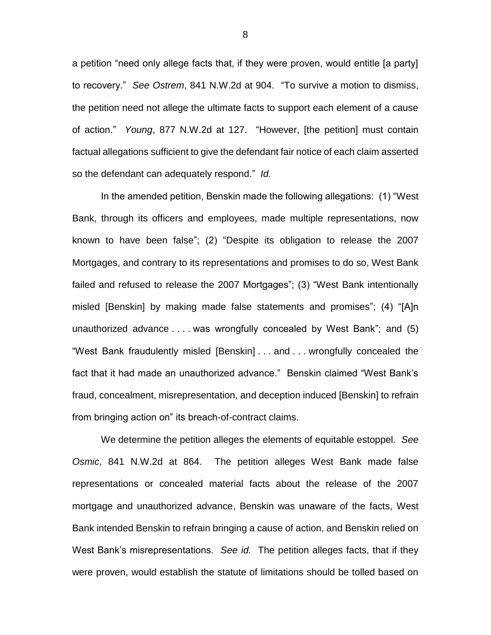a petition "need only allege facts that, if they were proven, would entitle [a party] to recovery." *See Ostrem*, 841 N.W.2d at 904. "To survive a motion to dismiss, the petition need not allege the ultimate facts to support each element of a cause of action." *Young*, 877 N.W.2d at 127. "However, [the petition] must contain factual allegations sufficient to give the defendant fair notice of each claim asserted so the defendant can adequately respond." *Id.*

In the amended petition, Benskin made the following allegations: (1) "West Bank, through its officers and employees, made multiple representations, now known to have been false"; (2) "Despite its obligation to release the 2007 Mortgages, and contrary to its representations and promises to do so, West Bank failed and refused to release the 2007 Mortgages"; (3) "West Bank intentionally misled [Benskin] by making made false statements and promises"; (4) "[A]n unauthorized advance . . . . was wrongfully concealed by West Bank"; and (5) "West Bank fraudulently misled [Benskin] . . . and . . . wrongfully concealed the fact that it had made an unauthorized advance." Benskin claimed "West Bank's fraud, concealment, misrepresentation, and deception induced [Benskin] to refrain from bringing action on" its breach-of-contract claims.

We determine the petition alleges the elements of equitable estoppel. *See Osmic*, 841 N.W.2d at 864. The petition alleges West Bank made false representations or concealed material facts about the release of the 2007 mortgage and unauthorized advance, Benskin was unaware of the facts, West Bank intended Benskin to refrain bringing a cause of action, and Benskin relied on West Bank's misrepresentations. *See id.* The petition alleges facts, that if they were proven, would establish the statute of limitations should be tolled based on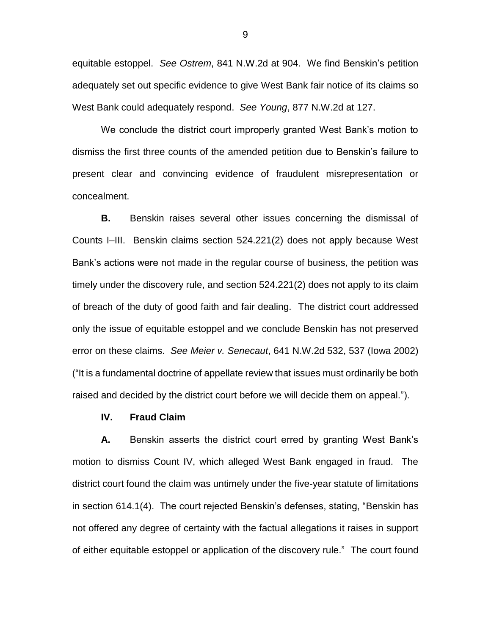equitable estoppel. *See Ostrem*, 841 N.W.2d at 904. We find Benskin's petition adequately set out specific evidence to give West Bank fair notice of its claims so West Bank could adequately respond. *See Young*, 877 N.W.2d at 127.

We conclude the district court improperly granted West Bank's motion to dismiss the first three counts of the amended petition due to Benskin's failure to present clear and convincing evidence of fraudulent misrepresentation or concealment.

**B.** Benskin raises several other issues concerning the dismissal of Counts I–III. Benskin claims section 524.221(2) does not apply because West Bank's actions were not made in the regular course of business, the petition was timely under the discovery rule, and section 524.221(2) does not apply to its claim of breach of the duty of good faith and fair dealing. The district court addressed only the issue of equitable estoppel and we conclude Benskin has not preserved error on these claims. *See Meier v. Senecaut*, 641 N.W.2d 532, 537 (Iowa 2002) ("It is a fundamental doctrine of appellate review that issues must ordinarily be both raised and decided by the district court before we will decide them on appeal.").

#### **IV. Fraud Claim**

**A.** Benskin asserts the district court erred by granting West Bank's motion to dismiss Count IV, which alleged West Bank engaged in fraud. The district court found the claim was untimely under the five-year statute of limitations in section 614.1(4). The court rejected Benskin's defenses, stating, "Benskin has not offered any degree of certainty with the factual allegations it raises in support of either equitable estoppel or application of the discovery rule." The court found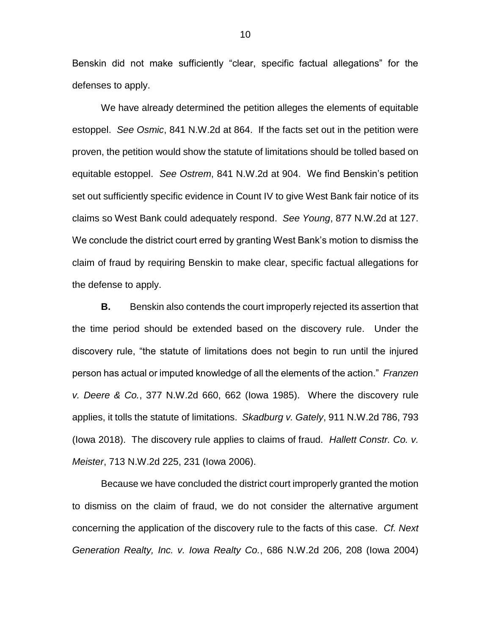Benskin did not make sufficiently "clear, specific factual allegations" for the defenses to apply.

We have already determined the petition alleges the elements of equitable estoppel. *See Osmic*, 841 N.W.2d at 864. If the facts set out in the petition were proven, the petition would show the statute of limitations should be tolled based on equitable estoppel. *See Ostrem*, 841 N.W.2d at 904. We find Benskin's petition set out sufficiently specific evidence in Count IV to give West Bank fair notice of its claims so West Bank could adequately respond. *See Young*, 877 N.W.2d at 127. We conclude the district court erred by granting West Bank's motion to dismiss the claim of fraud by requiring Benskin to make clear, specific factual allegations for the defense to apply.

**B.** Benskin also contends the court improperly rejected its assertion that the time period should be extended based on the discovery rule. Under the discovery rule, "the statute of limitations does not begin to run until the injured person has actual or imputed knowledge of all the elements of the action." *Franzen v. Deere & Co.*, 377 N.W.2d 660, 662 (Iowa 1985). Where the discovery rule applies, it tolls the statute of limitations. *Skadburg v. Gately*, 911 N.W.2d 786, 793 (Iowa 2018). The discovery rule applies to claims of fraud. *Hallett Constr. Co. v. Meister*, 713 N.W.2d 225, 231 (Iowa 2006).

Because we have concluded the district court improperly granted the motion to dismiss on the claim of fraud, we do not consider the alternative argument concerning the application of the discovery rule to the facts of this case. *Cf. Next Generation Realty, Inc. v. Iowa Realty Co.*, 686 N.W.2d 206, 208 (Iowa 2004)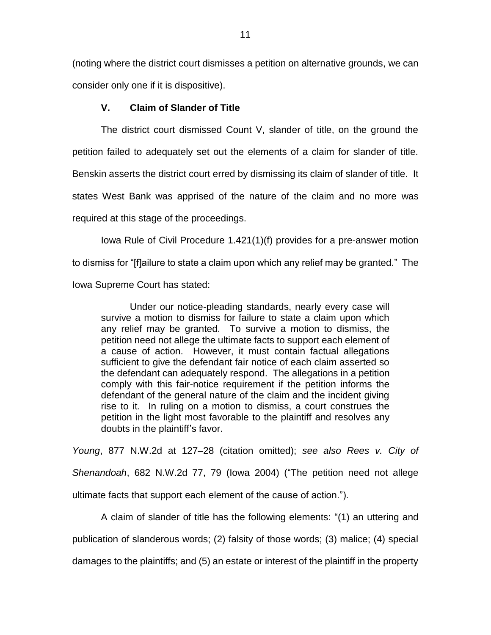(noting where the district court dismisses a petition on alternative grounds, we can consider only one if it is dispositive).

## **V. Claim of Slander of Title**

The district court dismissed Count V, slander of title, on the ground the

petition failed to adequately set out the elements of a claim for slander of title.

Benskin asserts the district court erred by dismissing its claim of slander of title. It

states West Bank was apprised of the nature of the claim and no more was

required at this stage of the proceedings.

Iowa Rule of Civil Procedure 1.421(1)(f) provides for a pre-answer motion to dismiss for "[f]ailure to state a claim upon which any relief may be granted." The

Iowa Supreme Court has stated:

Under our notice-pleading standards, nearly every case will survive a motion to dismiss for failure to state a claim upon which any relief may be granted. To survive a motion to dismiss, the petition need not allege the ultimate facts to support each element of a cause of action. However, it must contain factual allegations sufficient to give the defendant fair notice of each claim asserted so the defendant can adequately respond. The allegations in a petition comply with this fair-notice requirement if the petition informs the defendant of the general nature of the claim and the incident giving rise to it. In ruling on a motion to dismiss, a court construes the petition in the light most favorable to the plaintiff and resolves any doubts in the plaintiff's favor.

*Young*, 877 N.W.2d at 127–28 (citation omitted); *see also Rees v. City of Shenandoah*, 682 N.W.2d 77, 79 (Iowa 2004) ("The petition need not allege ultimate facts that support each element of the cause of action.").

A claim of slander of title has the following elements: "(1) an uttering and publication of slanderous words; (2) falsity of those words; (3) malice; (4) special

damages to the plaintiffs; and (5) an estate or interest of the plaintiff in the property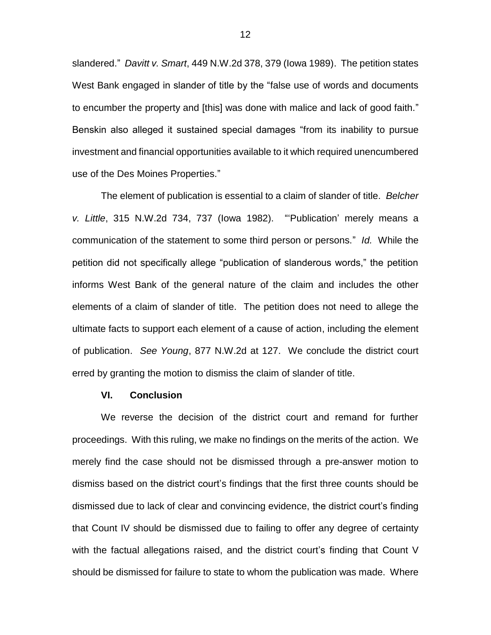slandered." *Davitt v. Smart*, 449 N.W.2d 378, 379 (Iowa 1989). The petition states West Bank engaged in slander of title by the "false use of words and documents to encumber the property and [this] was done with malice and lack of good faith." Benskin also alleged it sustained special damages "from its inability to pursue investment and financial opportunities available to it which required unencumbered use of the Des Moines Properties."

The element of publication is essential to a claim of slander of title. *Belcher v. Little*, 315 N.W.2d 734, 737 (Iowa 1982). "'Publication' merely means a communication of the statement to some third person or persons." *Id.* While the petition did not specifically allege "publication of slanderous words," the petition informs West Bank of the general nature of the claim and includes the other elements of a claim of slander of title. The petition does not need to allege the ultimate facts to support each element of a cause of action, including the element of publication. *See Young*, 877 N.W.2d at 127. We conclude the district court erred by granting the motion to dismiss the claim of slander of title.

#### **VI. Conclusion**

We reverse the decision of the district court and remand for further proceedings. With this ruling, we make no findings on the merits of the action. We merely find the case should not be dismissed through a pre-answer motion to dismiss based on the district court's findings that the first three counts should be dismissed due to lack of clear and convincing evidence, the district court's finding that Count IV should be dismissed due to failing to offer any degree of certainty with the factual allegations raised, and the district court's finding that Count V should be dismissed for failure to state to whom the publication was made. Where